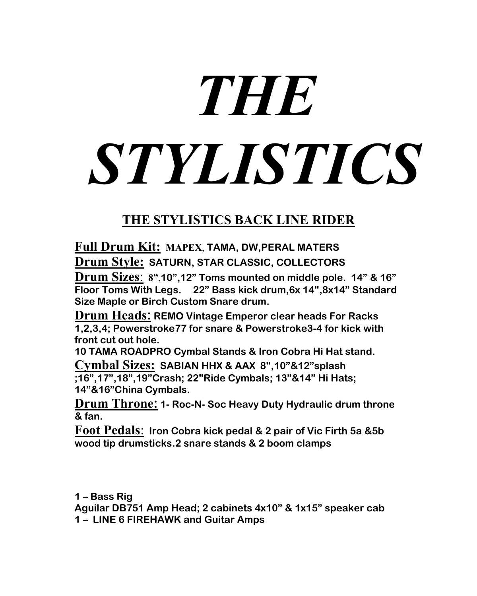# *THE STYLISTICS*

## **THE STYLISTICS BACK LINE RIDER**

**Full Drum Kit: MAPEX**, **TAMA, DW,PERAL MATERS Drum Style: SATURN, STAR CLASSIC, COLLECTORS**

**Drum Sizes**: **8"**,**10",12" Toms mounted on middle pole. 14" & 16" Floor Toms With Legs. 22" Bass kick drum,6x 14",8x14" Standard Size Maple or Birch Custom Snare drum.**

**Drum Heads: REMO Vintage Emperor clear heads For Racks 1,2,3,4; Powerstroke77 for snare & Powerstroke3-4 for kick with front cut out hole.**

**10 TAMA ROADPRO Cymbal Stands & Iron Cobra Hi Hat stand.** 

**Cymbal Sizes: SABIAN HHX & AAX 8",10"&12"splash ;16",17",18",19"Crash; 22"Ride Cymbals; 13"&14" Hi Hats; 14"&16"China Cymbals.**

**Drum Throne: 1- Roc-N- Soc Heavy Duty Hydraulic drum throne & fan.**

**Foot Pedals**: **Iron Cobra kick pedal & 2 pair of Vic Firth 5a &5b wood tip drumsticks.2 snare stands & 2 boom clamps**

**1 – Bass Rig**

**Aguilar DB751 Amp Head; 2 cabinets 4x10" & 1x15" speaker cab 1 – LINE 6 FIREHAWK and Guitar Amps**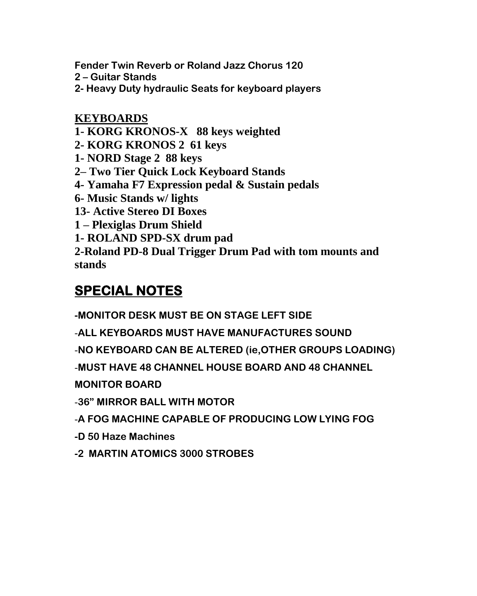**Fender Twin Reverb or Roland Jazz Chorus 120**

**2 – Guitar Stands**

**2- Heavy Duty hydraulic Seats for keyboard players**

### **KEYBOARDS**

- **1- KORG KRONOS-X 88 keys weighted**
- **2- KORG KRONOS 2 61 keys**
- **1- NORD Stage 2 88 keys**
- **2– Two Tier Quick Lock Keyboard Stands**
- **4- Yamaha F7 Expression pedal & Sustain pedals**
- **6- Music Stands w/ lights**
- **13- Active Stereo DI Boxes**
- **1 – Plexiglas Drum Shield**
- **1- ROLAND SPD-SX drum pad**

**2-Roland PD-8 Dual Trigger Drum Pad with tom mounts and stands**

## **SPECIAL NOTES**

**-MONITOR DESK MUST BE ON STAGE LEFT SIDE**

-**ALL KEYBOARDS MUST HAVE MANUFACTURES SOUND**

-**NO KEYBOARD CAN BE ALTERED (ie,OTHER GROUPS LOADING)**

-**MUST HAVE 48 CHANNEL HOUSE BOARD AND 48 CHANNEL** 

**MONITOR BOARD**

-**36" MIRROR BALL WITH MOTOR**

-**A FOG MACHINE CAPABLE OF PRODUCING LOW LYING FOG**

**-D 50 Haze Machines** 

**-2 MARTIN ATOMICS 3000 STROBES**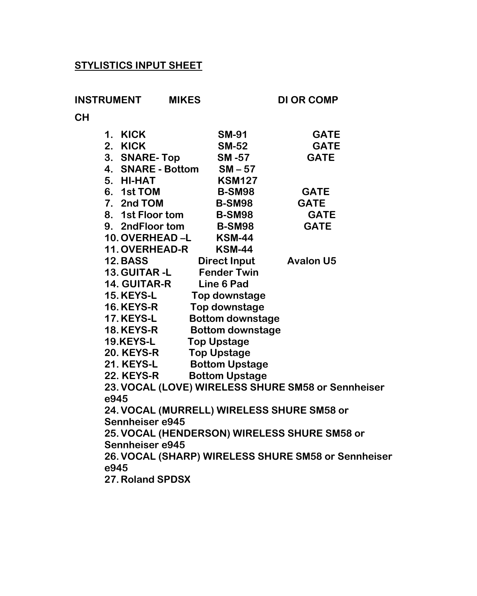#### **STYLISTICS INPUT SHEET**

| <b>INSTRUMENT</b>                                           | <b>MIKES</b>              | DI OR COMP       |
|-------------------------------------------------------------|---------------------------|------------------|
| <b>CH</b>                                                   |                           |                  |
| 1. KICK                                                     | <b>SM-91</b>              | <b>GATE</b>      |
| 2. KICK                                                     | <b>SM-52</b>              | <b>GATE</b>      |
| 3. SNARE-Top                                                | <b>SM-57</b>              | <b>GATE</b>      |
| 4. SNARE - Bottom                                           | $SM - 57$                 |                  |
| 5. HI-HAT                                                   | <b>KSM127</b>             |                  |
| 6. 1st TOM                                                  | <b>B-SM98</b>             | <b>GATE</b>      |
| 7. 2nd TOM                                                  | <b>B-SM98</b>             | <b>GATE</b>      |
| 8. 1st Floor tom                                            | <b>B-SM98</b>             | <b>GATE</b>      |
| 9. 2ndFloor tom                                             | <b>B-SM98</b>             | <b>GATE</b>      |
| 10. OVERHEAD-L                                              | <b>KSM-44</b>             |                  |
| <b>11. OVERHEAD-R</b>                                       | <b>KSM-44</b>             |                  |
| <b>12. BASS</b>                                             | <b>Direct Input</b>       | <b>Avalon U5</b> |
|                                                             | 13. GUITAR -L Fender Twin |                  |
| 14. GUITAR-R                                                | Line 6 Pad                |                  |
| <b>15. KEYS-L</b>                                           | Top downstage             |                  |
| <b>16. KEYS-R</b>                                           | Top downstage             |                  |
| <b>17. KEYS-L</b>                                           | <b>Bottom downstage</b>   |                  |
| <b>18. KEYS-R</b>                                           | <b>Bottom downstage</b>   |                  |
| <b>19.KEYS-L</b>                                            | <b>Top Upstage</b>        |                  |
| <b>20. KEYS-R</b>                                           | <b>Top Upstage</b>        |                  |
| <b>21. KEYS-L</b>                                           | <b>Bottom Upstage</b>     |                  |
| <b>22. KEYS-R</b>                                           | <b>Bottom Upstage</b>     |                  |
| 23. VOCAL (LOVE) WIRELESS SHURE SM58 or Sennheiser          |                           |                  |
| e945                                                        |                           |                  |
| 24. VOCAL (MURRELL) WIRELESS SHURE SM58 or                  |                           |                  |
| Sennheiser e945                                             |                           |                  |
| 25. VOCAL (HENDERSON) WIRELESS SHURE SM58 or                |                           |                  |
| Sennheiser e945                                             |                           |                  |
| 26. VOCAL (SHARP) WIRELESS SHURE SM58 or Sennheiser<br>e945 |                           |                  |
| 27. Roland SPDSX                                            |                           |                  |